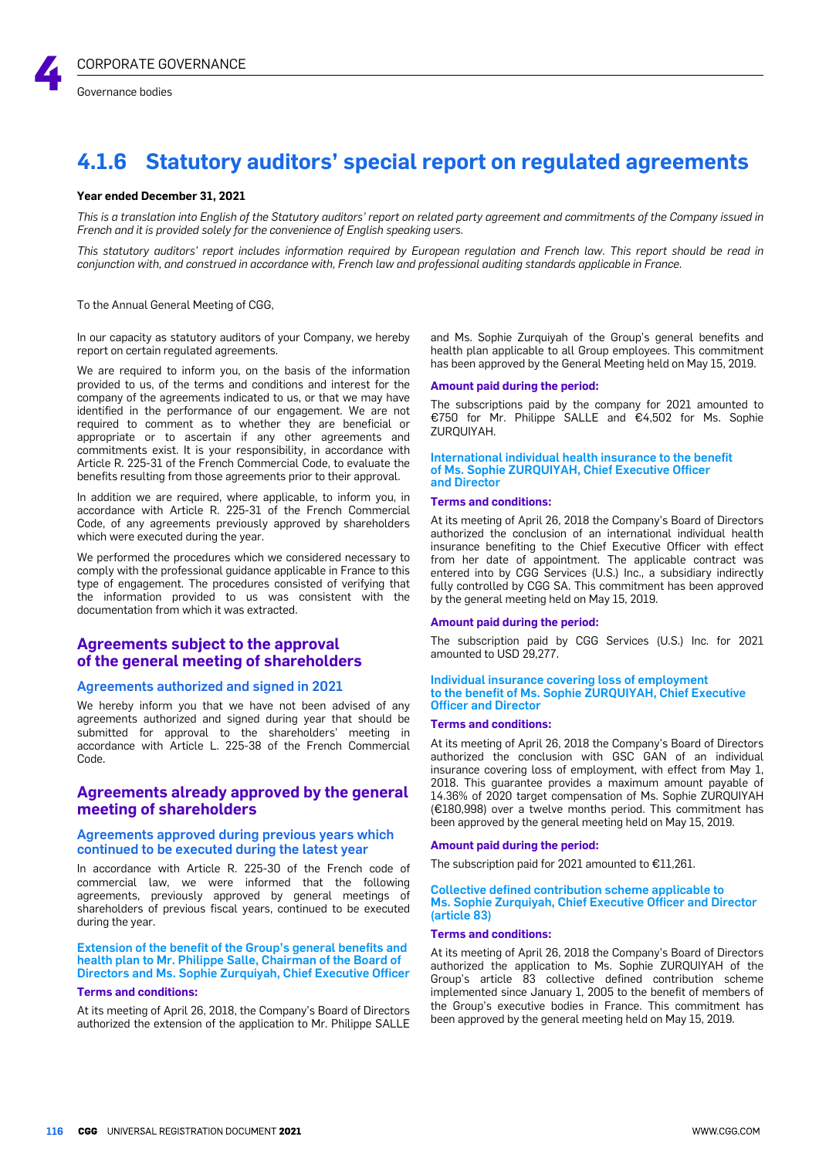

# **4.1.6 Statutory auditors' special report on regulated agreements**

#### **Year ended December 31, 2021**

This is a translation into Enalish of the Statutory auditors' report on related party agreement and commitments of the Company issued in *French and it is provided solely for the convenience of English speaking users.*

This statutory auditors' report includes information required by European requlation and French law. This report should be read in conjunction with, and construed in accordance with, French law and professional auditing standards applicable in France.

To the Annual General Meeting of CGG,

In our capacity as statutory auditors of your Company, we hereby report on certain regulated agreements.

We are required to inform you, on the basis of the information provided to us, of the terms and conditions and interest for the company of the agreements indicated to us, or that we may have identified in the performance of our engagement. We are not required to comment as to whether they are beneficial or appropriate or to ascertain if any other agreements and commitments exist. It is your responsibility, in accordance with Article R. 225-31 of the French Commercial Code, to evaluate the benefits resulting from those agreements prior to their approval.

In addition we are required, where applicable, to inform you, in accordance with Article R. 225-31 of the French Commercial Code, of any agreements previously approved by shareholders which were executed during the year.

We performed the procedures which we considered necessary to comply with the professional guidance applicable in France to this type of engagement. The procedures consisted of verifying that the information provided to us was consistent with the documentation from which it was extracted.

# **Agreements subject to the approval of the general meeting of shareholders**

## Agreements authorized and signed in 2021

We hereby inform you that we have not been advised of any agreements authorized and signed during year that should be submitted for approval to the shareholders' meeting in accordance with Article L. 225-38 of the French Commercial Code.

# **Agreements already approved by the general meeting of shareholders**

# Agreements approved during previous years which continued to be executed during the latest year

In accordance with Article R. 225-30 of the French code of commercial law, we were informed that the following agreements, previously approved by general meetings of shareholders of previous fiscal years, continued to be executed during the year.

Extension of the benefit of the Group's general benefits and health plan to Mr. Philippe Salle, Chairman of the Board of Directors and Ms. Sophie Zurquiyah, Chief Executive Officer

# **Terms and conditions:**

At its meeting of April 26, 2018, the Company's Board of Directors authorized the extension of the application to Mr. Philippe SALLE and Ms. Sophie Zurquiyah of the Group's general benefits and health plan applicable to all Group employees. This commitment has been approved by the General Meeting held on May 15, 2019.

#### **Amount paid during the period:**

The subscriptions paid by the company for 2021 amounted to €750 for Mr. Philippe SALLE and €4,502 for Ms. Sophie ZURQUIYAH.

#### International individual health insurance to the benefit of Ms. Sophie ZURQUIYAH, Chief Executive Officer and Director

## **Terms and conditions:**

At its meeting of April 26, 2018 the Company's Board of Directors authorized the conclusion of an international individual health insurance benefiting to the Chief Executive Officer with effect from her date of appointment. The applicable contract was entered into by CGG Services (U.S.) Inc., a subsidiary indirectly fully controlled by CGG SA. This commitment has been approved by the general meeting held on May 15, 2019.

#### **Amount paid during the period:**

The subscription paid by CGG Services (U.S.) Inc. for 2021 amounted to USD 29,277.

#### Individual insurance covering loss of employment to the benefit of Ms. Sophie ZURQUIYAH, Chief Executive Officer and Director

#### **Terms and conditions:**

At its meeting of April 26, 2018 the Company's Board of Directors authorized the conclusion with GSC GAN of an individual insurance covering loss of employment, with effect from May 1, 2018. This guarantee provides a maximum amount payable of 14.36% of 2020 target compensation of Ms. Sophie ZURQUIYAH (€180,998) over a twelve months period. This commitment has been approved by the general meeting held on May 15, 2019.

#### **Amount paid during the period:**

The subscription paid for 2021 amounted to €11,261.

#### Collective defined contribution scheme applicable to Ms. Sophie Zurquiyah, Chief Executive Officer and Director (article 83)

#### **Terms and conditions:**

At its meeting of April 26, 2018 the Company's Board of Directors authorized the application to Ms. Sophie ZURQUIYAH of the Group's article 83 collective defined contribution scheme implemented since January 1, 2005 to the benefit of members of the Group's executive bodies in France. This commitment has been approved by the general meeting held on May 15, 2019.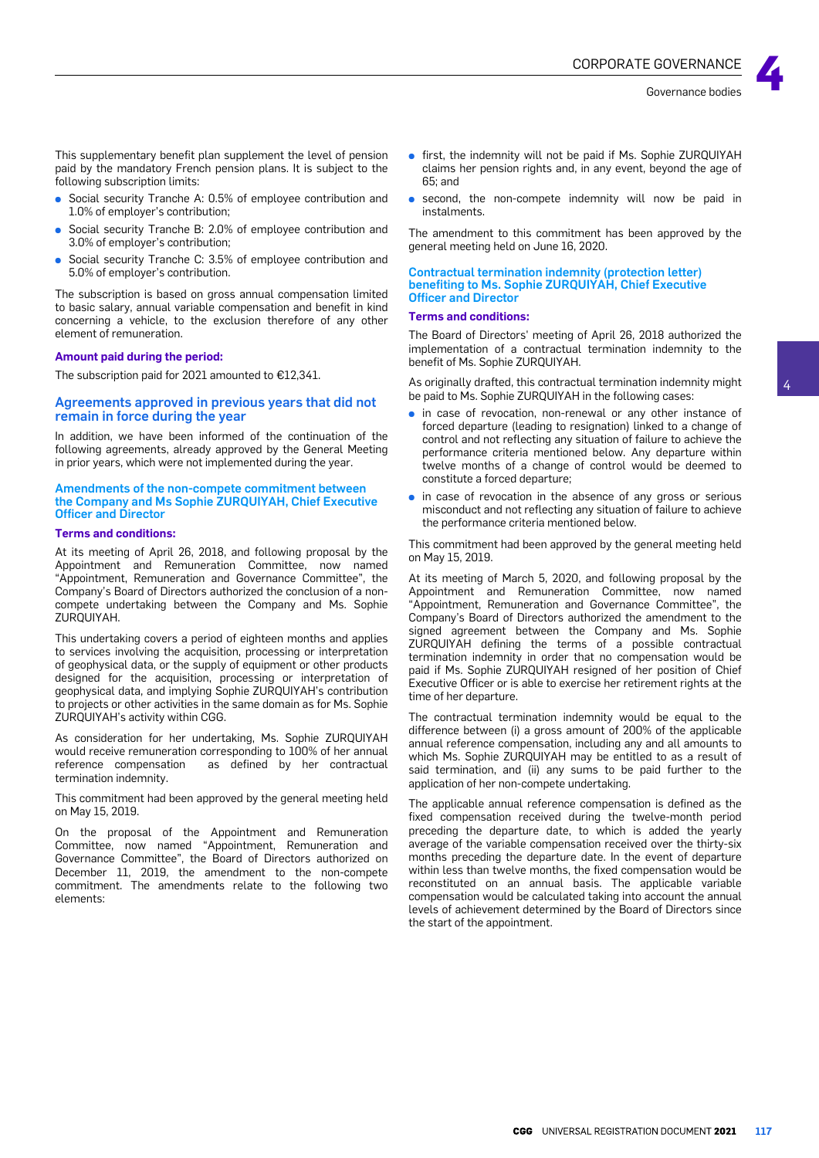This supplementary benefit plan supplement the level of pension paid by the mandatory French pension plans. It is subject to the following subscription limits:

- Social security Tranche A: 0.5% of employee contribution and 1.0% of employer's contribution;
- **●** Social security Tranche B: 2.0% of employee contribution and 3.0% of employer's contribution;
- **●** Social security Tranche C: 3.5% of employee contribution and 5.0% of employer's contribution.

The subscription is based on gross annual compensation limited to basic salary, annual variable compensation and benefit in kind concerning a vehicle, to the exclusion therefore of any other element of remuneration.

#### **Amount paid during the period:**

The subscription paid for 2021 amounted to €12,341.

# Agreements approved in previous years that did not remain in force during the year

In addition, we have been informed of the continuation of the following agreements, already approved by the General Meeting in prior years, which were not implemented during the year.

#### Amendments of the non-compete commitment between the Company and Ms Sophie ZURQUIYAH, Chief Executive Officer and Director

#### **Terms and conditions:**

At its meeting of April 26, 2018, and following proposal by the Appointment and Remuneration Committee, now named "Appointment, Remuneration and Governance Committee", the Company's Board of Directors authorized the conclusion of a noncompete undertaking between the Company and Ms. Sophie ZURQUIYAH.

This undertaking covers a period of eighteen months and applies to services involving the acquisition, processing or interpretation of geophysical data, or the supply of equipment or other products designed for the acquisition, processing or interpretation of geophysical data, and implying Sophie ZURQUIYAH's contribution to projects or other activities in the same domain as for Ms. Sophie ZURQUIYAH's activity within CGG.

As consideration for her undertaking, Ms. Sophie ZURQUIYAH would receive remuneration corresponding to 100% of her annual reference compensation as defined by her contractual termination indemnity.

This commitment had been approved by the general meeting held on May 15, 2019.

On the proposal of the Appointment and Remuneration Committee, now named "Appointment, Remuneration and Governance Committee", the Board of Directors authorized on December 11, 2019, the amendment to the non-compete commitment. The amendments relate to the following two elements:

- **●** first, the indemnity will not be paid if Ms. Sophie ZURQUIYAH claims her pension rights and, in any event, beyond the age of 65; and
- second, the non-compete indemnity will now be paid in instalments.

The amendment to this commitment has been approved by the general meeting held on June 16, 2020.

# Contractual termination indemnity (protection letter) benefiting to Ms. Sophie ZURQUIYAH, Chief Executive Officer and Director

## **Terms and conditions:**

The Board of Directors' meeting of April 26, 2018 authorized the implementation of a contractual termination indemnity to the benefit of Ms. Sophie ZURQUIYAH.

As originally drafted, this contractual termination indemnity might be paid to Ms. Sophie ZURQUIYAH in the following cases:

- in case of revocation, non-renewal or any other instance of forced departure (leading to resignation) linked to a change of control and not reflecting any situation of failure to achieve the performance criteria mentioned below. Any departure within twelve months of a change of control would be deemed to constitute a forced departure;
- in case of revocation in the absence of any gross or serious misconduct and not reflecting any situation of failure to achieve the performance criteria mentioned below.

This commitment had been approved by the general meeting held on May 15, 2019.

At its meeting of March 5, 2020, and following proposal by the Appointment and Remuneration Committee, now named "Appointment, Remuneration and Governance Committee", the Company's Board of Directors authorized the amendment to the signed agreement between the Company and Ms. Sophie ZURQUIYAH defining the terms of a possible contractual termination indemnity in order that no compensation would be paid if Ms. Sophie ZURQUIYAH resigned of her position of Chief Executive Officer or is able to exercise her retirement rights at the time of her departure.

The contractual termination indemnity would be equal to the difference between (i) a gross amount of 200% of the applicable annual reference compensation, including any and all amounts to which Ms. Sophie ZURQUIYAH may be entitled to as a result of said termination, and (ii) any sums to be paid further to the application of her non-compete undertaking.

The applicable annual reference compensation is defined as the fixed compensation received during the twelve-month period preceding the departure date, to which is added the yearly average of the variable compensation received over the thirty-six months preceding the departure date. In the event of departure within less than twelve months, the fixed compensation would be reconstituted on an annual basis. The applicable variable compensation would be calculated taking into account the annual levels of achievement determined by the Board of Directors since the start of the appointment.